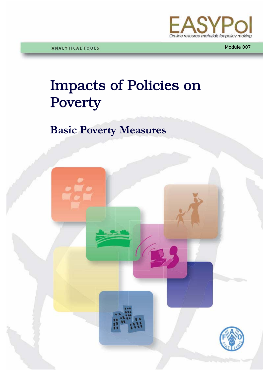

# Impacts of Policies on Poverty

# **Basic Poverty Measures**

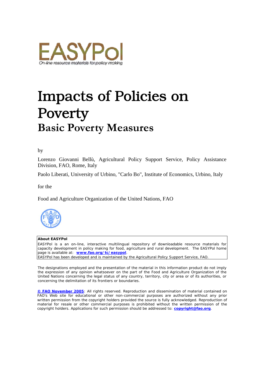

# Impacts of Policies on Poverty **Basic Poverty Measures**

by

Lorenzo Giovanni Bellù, Agricultural Policy Support Service, Policy Assistance Division, FAO, Rome, Italy

Paolo Liberati, University of Urbino, "Carlo Bo", Institute of Economics, Urbino, Italy

for the

Food and Agriculture Organization of the United Nations, FAO



#### **About EASYPol**

EASYPol is a an on-line, interactive multilingual repository of downloadable resource materials for capacity development in policy making for food, agriculture and rural development. The EASYPol home page is available at: *[www.fao.org/tc/easypol](http://www.fao.org/tc/easypol)*. EASYPol has been developed and is maintained by the Agricultural Policy Support Service, FAO.

The designations employed and the presentation of the material in this information product do not imply the expression of any opinion whatsoever on the part of the Food and Agriculture Organization of the United Nations concerning the legal status of any country, territory, city or area or of its authorities, or concerning the delimitation of its frontiers or boundaries.

**[© FAO November 2005](http://www.fao.org/copyright_EN.htm)**: All rights reserved. Reproduction and dissemination of material contained on FAO's Web site for educational or other non-commercial purposes are authorized without any prior written permission from the copyright holders provided the source is fully acknowledged. Reproduction of material for resale or other commercial purposes is prohibited without the written permission of the copyright holders. Applications for such permission should be addressed to: **[copyright@fao.org](mailto:copyright@fao.org)**.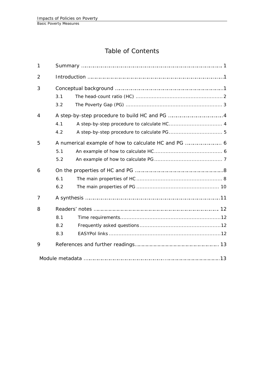# Table of Contents

| $\mathbf{1}$   |                   |  |  |  |  |  |  |  |
|----------------|-------------------|--|--|--|--|--|--|--|
| $\overline{2}$ |                   |  |  |  |  |  |  |  |
| 3              | 3.1<br>3.2        |  |  |  |  |  |  |  |
| $\overline{4}$ | 4.1<br>4.2        |  |  |  |  |  |  |  |
| 5              | 5.1<br>5.2        |  |  |  |  |  |  |  |
| 6              | 6.1<br>6.2        |  |  |  |  |  |  |  |
| 7              |                   |  |  |  |  |  |  |  |
| 8              | 8.1<br>8.2<br>8.3 |  |  |  |  |  |  |  |
| 9              |                   |  |  |  |  |  |  |  |
|                |                   |  |  |  |  |  |  |  |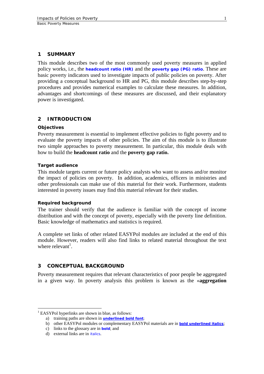#### <span id="page-4-0"></span>**1 SUMMARY**

This module describes two of the most commonly used poverty measures in applied policy works, i.e., the **[headcount ratio \(HR\)](http://www.fao.org/tc/easypol/output/glossary_term.asp?id=15049)** and the **[poverty gap \(PG\) ratio](http://www.fao.org/tc/easypol/output/glossary_term.asp?id=15061)**. These are basic poverty indicators used to investigate impacts of public policies on poverty. After providing a conceptual background to HR and PG, this module describes step-by-step procedures and provides numerical examples to calculate these measures. In addition, advantages and shortcomings of these measures are discussed, and their explanatory power is investigated.

#### **2 INTRODUCTION**

#### **Objectives**

Poverty measurement is essential to implement effective policies to fight poverty and to evaluate the poverty impacts of other policies. The aim of this module is to illustrate two simple approaches to poverty measurement. In particular, this module deals with how to build the **headcount ratio** and the **poverty gap ratio.**

#### **Target audience**

This module targets current or future policy analysts who want to assess and/or monitor the impact of policies on poverty. In addition, academics, officers in ministries and other professionals can make use of this material for their work. Furthermore, students interested in poverty issues may find this material relevant for their studies.

#### **Required background**

The trainer should verify that the audience is familiar with the concept of income distribution and with the concept of poverty, especially with the poverty line definition. Basic knowledge of mathematics and statistics is required.

A complete set links of other related EASYPol modules are included at the end of this module. However, readers will also find links to related material throughout the text where relevant<sup>1</sup>.

#### **3 CONCEPTUAL BACKGROUND**

Poverty measurement requires that relevant characteristics of poor people be aggregated in a given way. In poverty analysis this problem is known as the «**aggregation** 

 $\overline{a}$ 

<span id="page-4-1"></span><sup>&</sup>lt;sup>1</sup> EASYPol hyperlinks are shown in blue, as follows:

a) training paths are shown in **underlined bold font**;

b) other EASYPol modules or complementary EASYPol materials are in *bold underlined italics*;

c) links to the glossary are in **bold**; and

d) external links are in *italics*.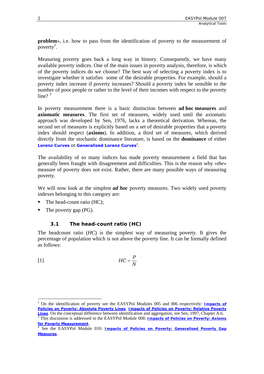<span id="page-5-0"></span>**problem**», i.e. how to pass from the identification of poverty to the measurement of poverty<sup>[2](#page-5-1)</sup>.

Measuring poverty goes back a long way in history. Consequently, we have many available poverty indices. One of the main issues in poverty analysis, therefore, is which of the poverty indices do we choose? The best way of selecting a poverty index is to investigate whether it satisfies some of the desirable properties. For example, should a poverty index increase if poverty increases? Should a poverty index be sensible to the number of poor people or rather to the level of their incomes with respect to the poverty line? $3^3$  $3^3$ 

In poverty measurement there is a basic distinction between **ad hoc measures** and **axiomatic measures**. The first set of measures, widely used until the axiomatic approach was developed by Sen, 1976, lacks a theoretical derivation. Whereas, the second set of measures is explicitly based on a set of desirable properties that a poverty index should respect (**axioms**). In addition, a third set of measures, which derived directly from the stochastic dominance literature, is based on the **dominance** of either **[Lorenz Curves](http://www.fao.org/tc/easypol/output/glossary_term.asp?id=14901) Or [Generalized Lorenz Curves](http://www.fao.org/tc/easypol/output/glossary_term.asp?id=14942)<sup>[4](#page-5-3)</sup>.** 

The availability of so many indices has made poverty measurement a field that has generally been fraught with disagreement and difficulties. This is the reason why «*the*» measure of poverty does not exist. Rather, there are many possible ways of measuring poverty.

We will now look at the simplest *ad hoc* poverty measures. Two widely used poverty indexes belonging to this category are:

- The head-count ratio (HC);
- The poverty gap (PG).

 $\overline{a}$ 

# **3.1 The head-count ratio (HC)**

The headcount ratio (*HC*) is the simplest way of measuring poverty. It gives the percentage of population which is not above the poverty line. It can be formally defined as follows:

| $[1]$ | $HC = \frac{P}{P}$ |
|-------|--------------------|
|       | N                  |

<span id="page-5-1"></span><sup>2</sup> On the identification of poverty see the EASYPol Modules 005 and 006 respectively: *[Impacts of](http://www.fao.org/docs/up/easypol/317/rel_pov_lines_006EN.pdf)  [Policies on Poverty: Absolute Poverty Lines](http://www.fao.org/docs/up/easypol/317/rel_pov_lines_006EN.pdf)*, *Impacts of Policies on Poverty: Relative Poverty Lines*[.](http://www.fao.org/docs/up/easypol/317/rel_pov_lines_006EN.pdf) On the conceptual difference between identification and aggregation, see Sen, 1997, Chapter A.6. 3 This discussion is addressed in the EASYPol Module 008: *[Impacts of Policies on Poverty: Axioms](http://www.fao.org/docs/up/easypol/321/axioms_pov_msmt_008EN.pdf)*

<span id="page-5-2"></span>*for Poverty Measurement*. 4

<span id="page-5-3"></span>See the EASYPol Module 010: *[Impacts of Policies on Poverty: Generalised Poverty Gap](http://www.fao.org/docs/up/easypol/324/gnrlsed_pvty_gap_msrs_010EN.pdf) [Measures](http://www.fao.org/docs/up/easypol/324/gnrlsed_pvty_gap_msrs_010EN.pdf)*.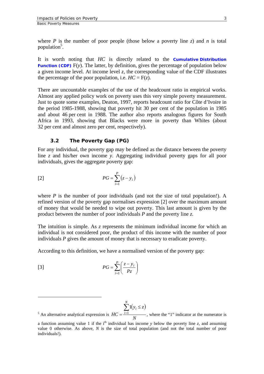<span id="page-6-0"></span>where *P* is the number of poor people (those below a poverty line *z*) and *n* is total population<sup>5</sup>.

It is worth noting that *HC* is directly related to the **[Cumulative Distribution](http://www.fao.org/tc/easypol/output/glossary_term.asp?id=15048)  [Function \(CDF\)](http://www.fao.org/tc/easypol/output/glossary_term.asp?id=15048)** F(y). The latter, by definition, gives the percentage of population below a given income level. At income level *z*, the corresponding value of the CDF illustrates the percentage of the poor population, i.e.  $HC = F(z)$ .

There are uncountable examples of the use of the headcount ratio in empirical works. Almost any applied policy work on poverty uses this very simple poverty measurement. Just to quote some examples, Deaton, 1997, reports headcount ratio for Côte d'Ivoire in the period 1985-1988, showing that poverty hit 30 per cent of the population in 1985 and about 46 per cent in 1988. The author also reports analogous figures for South Africa in 1993, showing that Blacks were more in poverty than Whites (about 32 per cent and almost zero per cent, respectively).

#### **3.2 The Poverty Gap (PG)**

For any individual, the poverty gap may be defined as the distance between the poverty line *z* and his/her own income *y*. Aggregating individual poverty gaps for all poor individuals, gives the aggregate poverty gap:

$$
PG = \sum_{i=1}^{P} (z - y_i)
$$

where  $P$  is the number of poor individuals (and not the size of total population!). A refined version of the poverty gap normalises expression [2] over the maximum amount of money that would be needed to wipe out poverty. This last amount is given by the product between the number of poor individuals *P* and the poverty line *z*.

The intuition is simple. As *z* represents the minimum individual income for which an individual is not considered poor, the product of this income with the number of poor individuals *P* gives the amount of money that is necessary to eradicate poverty.

According to this definition, we have a normalised version of the poverty gap:

$$
PG = \sum_{i=1}^{P} \left( \frac{z - y_i}{Pz} \right)
$$

<span id="page-6-1"></span> $\overline{a}$ 

$$
\sum_{i=1}^{N} \mathbf{1}(y_i \le z)
$$

<sup>&</sup>lt;sup>5</sup> An alternative analytical expression is  $HC = \frac{i=1}{N}$  $HC = \frac{i=1}{n}$ , where the "1" indicator at the numerator is

a function assuming value 1 if the  $i<sup>th</sup>$  individual has income *y* below the poverty line *z*, and assuming value 0 otherwise. As above, *N* is the size of total population (and not the total number of poor individuals!).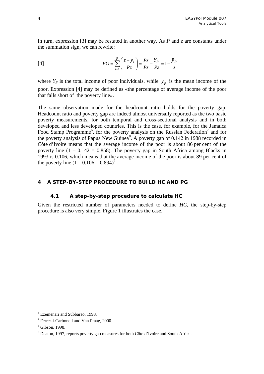<span id="page-7-0"></span>In turn, expression [3] may be restated in another way. As *P* and *z* are constants under the summation sign, we can rewrite:

[4] 
$$
PG = \sum_{i=1}^{P} \left( \frac{z - y_i}{P_z} \right) = \frac{P_z}{P_z} - \frac{Y_P}{P_z} = 1 - \frac{\bar{y}_P}{z}
$$

where  $Y_P$  is the total income of poor individuals, while  $\bar{y}_p$  is the mean income of the poor. Expression [4] may be defined as «the percentage of average income of the poor that falls short of the poverty line».

The same observation made for the headcount ratio holds for the poverty gap. Headcount ratio and poverty gap are indeed almost universally reported as the two basic poverty measurements, for both temporal and cross-sectional analysis and in both developed and less developed countries. This is the case, for example, for the Jamaica Food Stamp Programme<sup>[6](#page-7-1)</sup>, for the poverty analysis on the Russian Federation<sup>[7](#page-7-2)</sup> and for the poverty analysis of Papua New Guinea<sup>[8](#page-7-3)</sup>. A poverty gap of 0.142 in 1988 recorded in Côte d'Ivoire means that the average income of the poor is about 86 per cent of the poverty line  $(1 - 0.142 = 0.858)$ . The poverty gap in South Africa among Blacks in 1993 is 0.106, which means that the average income of the poor is about 89 per cent of the poverty line  $(1 - 0.106 = 0.894)^9$ .

#### **4 A STEP-BY-STEP PROCEDURE TO BUILD HC AND PG**

#### **4.1 A step-by-step procedure to calculate HC**

Given the restricted number of parameters needed to define *HC*, the step-by-step procedure is also very simple. Figure 1 illustrates the case.

 $\overline{a}$ 

<span id="page-7-1"></span> $^6$  Ezemenari and Subbarao, 1998.

<span id="page-7-2"></span><sup>&</sup>lt;sup>7</sup> Ferrer-i-Carbonell and Van Praag, 2000.

<span id="page-7-3"></span> $\frac{8}{9}$  Gibson, 1998.

<span id="page-7-4"></span> $9$  Deaton, 1997, reports poverty gap measures for both Côte d'Ivoire and South-Africa.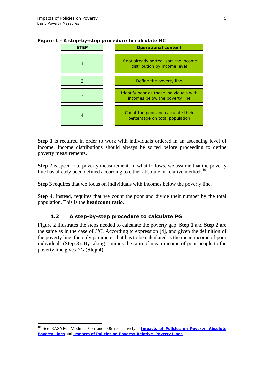$\overline{a}$ 

| <b>STEP</b> | <b>Operational content</b>                                                |
|-------------|---------------------------------------------------------------------------|
|             | If not already sorted, sort the income<br>distribution by income level    |
|             | Define the poverty line                                                   |
|             | Identify poor as those individuals with<br>incomes below the poverty line |
|             | Count the poor and calculate their<br>percentage on total population      |

<span id="page-8-0"></span>**Figure 1 - A step-by-step procedure to calculate HC** 

**Step 1** is required in order to work with individuals ordered in an ascending level of income. Income distributions should always be sorted before proceeding to define poverty measurements.

**Step 2** is specific to poverty measurement. In what follows, we assume that the poverty line has already been defined according to either absolute or relative methods $^{10}$ .

**Step 3** requires that we focus on individuals with incomes below the poverty line.

**Step 4**, instead, requires that we count the poor and divide their number by the total population. This is the **headcount ratio**.

#### **4.2 A step-by-step procedure to calculate PG**

Figure 2 illustrates the steps needed to calculate the poverty gap. **Step 1** and **Step 2** are the same as in the case of *HC*. According to expression [4], and given the definition of the poverty line, the only parameter that has to be calculated is the mean income of poor individuals (**Step 3**). By taking 1 minus the ratio of mean income of poor people to the poverty line gives *PG* (**Step 4**).

<span id="page-8-1"></span><sup>10</sup> See EASYPol Modules 005 and 006 respectively: *Impacts of Policies on [Poverty: Absolute](http://www.fao.org/docs/up/easypol/316/abslt_pov_lines_005EN.pdf)  [Poverty Lines](http://www.fao.org/docs/up/easypol/316/abslt_pov_lines_005EN.pdf)* and *Impacts of [Policies on Poverty: Relative Poverty Lines](http://www.fao.org/docs/up/easypol/317/rel_pov_lines_006EN.pdf)*.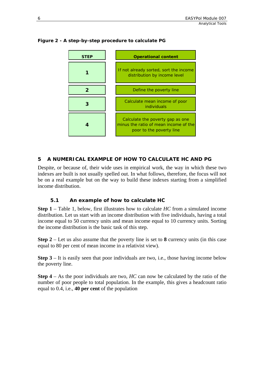

### <span id="page-9-0"></span>**Figure 2 - A step-by-step procedure to calculate PG**

# **5 A NUMERICAL EXAMPLE OF HOW TO CALCULATE HC AND PG**

Despite, or because of, their wide uses in empirical work, the way in which these two indexes are built is not usually spelled out. In what follows, therefore, the focus will not be on a real example but on the way to build these indexes starting from a simplified income distribution.

#### **5.1 An example of how to calculate** *HC*

**Step 1** – Table 1, below, first illustrates how to calculate *HC* from a simulated income distribution. Let us start with an income distribution with five individuals, having a total income equal to 50 currency units and mean income equal to 10 currency units. Sorting the income distribution is the basic task of this step.

**Step 2** – Let us also assume that the poverty line is set to **8** currency units (in this case equal to 80 per cent of mean income in a relativist view).

**Step 3** – It is easily seen that poor individuals are two, i.e., those having income below the poverty line.

**Step 4** – As the poor individuals are two, *HC* can now be calculated by the ratio of the number of poor people to total population. In the example, this gives a headcount ratio equal to 0.4, i.e., **40 per cent** of the population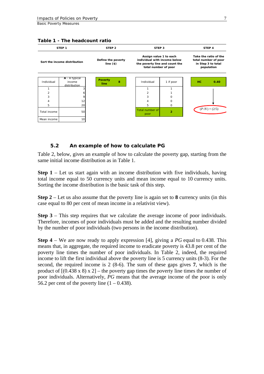<span id="page-10-0"></span>

#### **5.2 An example of how to calculate PG**

Table 2, below, gives an example of how to calculate the poverty gap, starting from the same initial income distribution as in Table 1.

**Step 1** – Let us start again with an income distribution with five individuals, having total income equal to 50 currency units and mean income equal to 10 currency units. Sorting the income distribution is the basic task of this step.

**Step 2** – Let us also assume that the poverty line is again set to **8** currency units (in this case equal to 80 per cent of mean income in a relativist view).

**Step 3** – This step requires that we calculate the average income of poor individuals. Therefore, incomes of poor individuals must be added and the resulting number divided by the number of poor individuals (two persons in the income distribution).

**Step 4** – We are now ready to apply expression [4], giving a *PG* equal to 0.438. This means that, in aggregate, the required income to eradicate poverty is 43.8 per cent of the poverty line times the number of poor individuals. In Table 2, indeed, the required income to lift the first individual above the poverty line is 5 currency units (8-3). For the second, the required income is 2 (8-6). The sum of these gaps gives **7**, which is the product of  $[(0.438 \times 8) \times 2]$  – the poverty gap times the poverty line times the number of poor individuals. Alternatively, *PG* means that the average income of the poor is only 56.2 per cent of the poverty line  $(1 - 0.438)$ .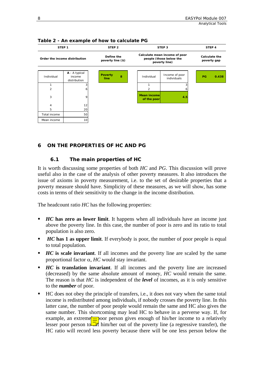<span id="page-11-0"></span>8

| STEP <sub>1</sub>             |                                         | STEP <sub>2</sub>      |   | STEP <sub>3</sub>                                                         |                                    |                               | STEP 4                              |    |       |
|-------------------------------|-----------------------------------------|------------------------|---|---------------------------------------------------------------------------|------------------------------------|-------------------------------|-------------------------------------|----|-------|
| Order the income distribution | Define the<br>poverty line (\$)         |                        |   | Calculate mean income of poor<br>people (those below the<br>poverty line) |                                    |                               | <b>Calculate the</b><br>poverty gap |    |       |
| Individual                    | A - A typical<br>income<br>distribution | <b>Poverty</b><br>line | 8 |                                                                           | Individual                         | Income of poor<br>individuals |                                     | PG | 0.438 |
| 1                             |                                         |                        |   |                                                                           |                                    |                               |                                     |    |       |
| 2                             | h                                       |                        |   |                                                                           | $\overline{2}$                     | h                             |                                     |    |       |
| 3                             | 9                                       |                        |   |                                                                           | <b>Mean incomel</b><br>of the poor | 4.5                           |                                     |    |       |
| $\overline{4}$                | 12                                      |                        |   |                                                                           |                                    |                               |                                     |    |       |
| 5                             | 20                                      |                        |   |                                                                           |                                    |                               |                                     |    |       |
| Total income                  | 50                                      |                        |   |                                                                           |                                    |                               |                                     |    |       |
| Mean income                   | 10                                      |                        |   |                                                                           |                                    |                               |                                     |    |       |

**Table 2 - An example of how to calculate PG**

# **6 ON THE PROPERTIES OF HC AND PG**

#### **6.1 The main properties of HC**

It is worth discussing some properties of both *HC* and *PG*. This discussion will prove useful also in the case of the analysis of other poverty measures. It also introduces the issue of axioms in poverty measurement, i.e. to the set of desirable properties that a poverty measure should have. Simplicity of these measures, as we will show, has some costs in terms of their sensitivity to the change in the income distribution.

The headcount ratio *HC* has the following properties:

- **HC** has zero as lower limit. It happens when all individuals have an income just above the poverty line. In this case, the number of poor is zero and its ratio to total population is also zero.
- *HC* has 1 as upper limit. If everybody is poor, the number of poor people is equal to total population.
- *HC* is scale invariant. If all incomes and the poverty line are scaled by the same proportional factor α, *HC* would stay invariant.
- *HC* **is translation invariant**. If all incomes and the poverty line are increased (decreased) by the same absolute amount of money, *HC* would remain the same. The reason is that *HC* is independent of the *level* of incomes, as it is only sensitive to the *number* of poor.
- HC does not obey the principle of transfers, i.e., it does not vary when the same total income is redistributed among individuals, if nobody crosses the poverty line. In this latter case, the number of poor people would remain the same and HC also gives the same number. This shortcoming may lead HC to behave in a perverse way. If, for example, an extreme  $\frac{1}{\sqrt{2}}$  poor person gives enough of his/her income to a relatively lesser poor person to  $\overline{\mathcal{A}}$  him/her out of the poverty line (a regressive transfer), the HC ratio will record less poverty because there will be one less person below the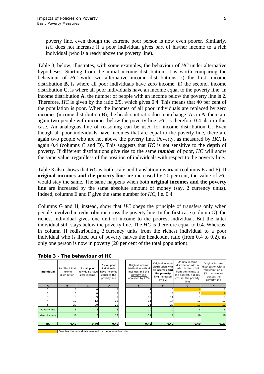poverty line, even though the extreme poor person is now even poorer. Similarly, *HC* does not increase if a poor individual gives part of his/her income to a rich individual (who is already above the poverty line).

Table 3, below, illustrates, with some examples, the behaviour of *HC* under alternative hypotheses. Starting from the initial income distribution, it is worth comparing the behaviour of *HC* with two alternative income distributions: i) the first, income distribution **B**, is where all poor individuals have zero income; ii) the second, income distribution **C**, is where all poor individuals have an income equal to the poverty line. In income distribution **A**, the number of people with an income below the poverty line is 2. Therefore, *HC* is given by the ratio 2/5, which gives 0.4. This means that 40 per cent of the population is poor. When the incomes of all poor individuals are replaced by zero incomes (income distribution **B**), the headcount ratio does not change. As in **A**, there are again two people with incomes below the poverty line. *HC* is therefore 0.4 also in this case. An analogous line of reasoning can be used for income distribution **C**. Even though all poor individuals have incomes that are equal to the poverty line, there are again two people who are not above the poverty line. Poverty, as measured by *HC*, is again 0.4 (columns C and D). This suggests that *HC* is not sensitive to the **depth** of poverty. If different distributions give rise to the same *number* of poor, *HC* will show the same value, regardless of the position of individuals with respect to the poverty line.

Table 3 also shows that *HC* is both scale and translation invariant (columns E and F). If **original incomes and the poverty line** are increased by 20 per cent, the value of *HC* would stay the same. The same happens when both **original incomes and the poverty line** are increased by the same absolute amount of money (say, 2 currency units). Indeed, columns E and F give the same number for *HC*, i.e. 0.4.

Columns G and H, instead, show that *HC* obeys the principle of transfers only when people involved in redistribution cross the poverty line. In the first case (column G), the richest individual gives one unit of income to the poorest individual. But the latter individual still stays below the poverty line. The *HC* is therefore equal to 0.4. Whereas, in column H redistributing 3 currency units from the richest individual to a poor individual who is lifted out of poverty halves the headcount ratio (from 0.4 to 0.2), as only one person is now in poverty (20 per cent of the total population).

| <b>Individual</b> | A- The initial<br>income<br>distribution                | $B - All poor$<br>individuals have<br>zero income | C - All poor<br>individuals<br>have incomes<br>equal to the<br>poverty line |  | Original income<br>distribution with all<br>incomes and the<br>poverty line<br>increased by 20% | Original income<br>distribution with<br>all incomes and<br>the poverty<br>line increased<br>by $$2$ | Original income<br>distribution with a<br>redistribution of \$1<br>from the richest to<br>the poorest, nobody<br>crosses the poverty<br>line | Original income<br>distribution with a<br>redistribution of<br>\$3, the receiver<br>crosses the<br>poverty line |
|-------------------|---------------------------------------------------------|---------------------------------------------------|-----------------------------------------------------------------------------|--|-------------------------------------------------------------------------------------------------|-----------------------------------------------------------------------------------------------------|----------------------------------------------------------------------------------------------------------------------------------------------|-----------------------------------------------------------------------------------------------------------------|
| A                 | B                                                       | $\mathbf{c}$                                      | D                                                                           |  | E.                                                                                              | F                                                                                                   | G                                                                                                                                            | H                                                                                                               |
|                   |                                                         |                                                   |                                                                             |  |                                                                                                 |                                                                                                     |                                                                                                                                              |                                                                                                                 |
|                   |                                                         |                                                   |                                                                             |  |                                                                                                 |                                                                                                     | 6                                                                                                                                            |                                                                                                                 |
|                   |                                                         |                                                   |                                                                             |  |                                                                                                 |                                                                                                     | 9                                                                                                                                            |                                                                                                                 |
|                   | 12                                                      | 12                                                | 12                                                                          |  | 14                                                                                              | 14                                                                                                  | 12                                                                                                                                           | 12                                                                                                              |
| 5                 | 20                                                      | 20                                                | 20                                                                          |  | 24                                                                                              | 22                                                                                                  | 19                                                                                                                                           | 17                                                                                                              |
| Poverty line      |                                                         |                                                   |                                                                             |  | 10                                                                                              | 10                                                                                                  | $\mathbf{8}$                                                                                                                                 |                                                                                                                 |
| Mean income       | 10 <sup>1</sup>                                         |                                                   | 11                                                                          |  | 12                                                                                              | 12                                                                                                  | 10                                                                                                                                           | 10                                                                                                              |
|                   |                                                         |                                                   |                                                                             |  |                                                                                                 |                                                                                                     |                                                                                                                                              |                                                                                                                 |
| HC                | 0.40                                                    | 0.40                                              | 0.40                                                                        |  | 0.40                                                                                            | 0.40                                                                                                | 0.40                                                                                                                                         | 0.20                                                                                                            |
|                   |                                                         |                                                   |                                                                             |  |                                                                                                 |                                                                                                     |                                                                                                                                              |                                                                                                                 |
|                   | Denotes the individuals involved by the income transfer |                                                   |                                                                             |  |                                                                                                 |                                                                                                     |                                                                                                                                              |                                                                                                                 |

**Table 3 - The behaviour of HC**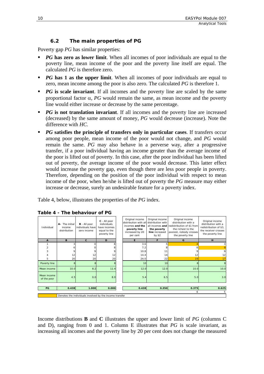### **6.2 The main properties of PG**

<span id="page-13-0"></span>Poverty gap *PG* has similar properties:

- *PG* has zero as lower limit. When all incomes of poor individuals are equal to the poverty line, mean income of the poor and the poverty line itself are equal. The calculated *PG* is therefore zero.
- *PG* has 1 as the upper limit. When all incomes of poor individuals are equal to zero, mean income among the poor is also zero. The calculated *PG* is therefore 1.
- *PG* is scale invariant. If all incomes and the poverty line are scaled by the same proportional factor α, *PG* would remain the same, as mean income and the poverty line would either increase or decrease by the same percentage.
- *PG* is not translation invariant. If all incomes and the poverty line are increased (decreased) by the same amount of money, *PG* would decrease (increase). Note the difference with *HC*.
- **PG** satisfies the principle of transfers only in particular cases. If transfers occur among poor people, mean income of the poor would not change, and *PG* would remain the same. *PG* may also behave in a perverse way, after a progressive transfer, if a poor individual having an income greater than the average income of the poor is lifted out of poverty. In this case, after the poor individual has been lifted out of poverty, the average income of the poor would decrease. This latter effect would increase the poverty gap, even though there are less poor people in poverty. Therefore, depending on the position of the poor individual with respect to mean income of the poor, when he/she is lifted out of poverty the *PG* measure may either increase or decrease, surely an undesirable feature for a poverty index.

Table 4, below, illustrates the properties of the *PG* index.

| Individual                 | A- The initial<br>income<br>distribution | <b>B</b> - All poor<br>individuals have<br>zero income  | $C - All poor$<br>individuals<br>have incomes<br>equal to the<br>poverty line |  | Original income<br>distribution with all<br>incomes and the<br>poverty line<br>increased by 20<br>per cent | Original income<br>distribution with<br>the poverty<br>line increased<br>by \$2 | Original income<br>distribution with a<br>all incomes and redistribution of \$1 from<br>the richest to the<br>poorest, nobody crosses<br>the poverty line | Original income<br>distribution with a<br>redistribution of \$3,<br>the receiver crosses<br>the poverty line |
|----------------------------|------------------------------------------|---------------------------------------------------------|-------------------------------------------------------------------------------|--|------------------------------------------------------------------------------------------------------------|---------------------------------------------------------------------------------|-----------------------------------------------------------------------------------------------------------------------------------------------------------|--------------------------------------------------------------------------------------------------------------|
| $\mathbf{A}$               | B                                        | C                                                       | D                                                                             |  | E                                                                                                          | F                                                                               | G                                                                                                                                                         | H                                                                                                            |
|                            |                                          |                                                         |                                                                               |  | 3.6                                                                                                        |                                                                                 |                                                                                                                                                           |                                                                                                              |
| $\overline{c}$             |                                          |                                                         |                                                                               |  | 7.2                                                                                                        |                                                                                 |                                                                                                                                                           |                                                                                                              |
| 3                          |                                          |                                                         |                                                                               |  | 10.8                                                                                                       | 11                                                                              |                                                                                                                                                           |                                                                                                              |
|                            | 12                                       | 12                                                      | 12                                                                            |  | 14.4                                                                                                       | 14                                                                              | 12                                                                                                                                                        | 12                                                                                                           |
| 5                          | 20                                       | 20                                                      | 20                                                                            |  | 24.0                                                                                                       | 22                                                                              | 19                                                                                                                                                        | 17                                                                                                           |
| Poverty line               |                                          | 8                                                       |                                                                               |  | 10 <sup>1</sup>                                                                                            | 10                                                                              |                                                                                                                                                           |                                                                                                              |
| Mean income                | 10.0                                     | 8.2                                                     | 11.4                                                                          |  | 12.0                                                                                                       | 12.0                                                                            | 10.0                                                                                                                                                      | 10.0                                                                                                         |
| Mean income<br>of the poor | 4.5                                      | 0.0                                                     | 8.0                                                                           |  | 5.4                                                                                                        | 6.5                                                                             | 5.0                                                                                                                                                       | 3.0                                                                                                          |
|                            |                                          |                                                         |                                                                               |  |                                                                                                            |                                                                                 |                                                                                                                                                           |                                                                                                              |
| PG                         | 0.438                                    | 1.000                                                   | 0.000                                                                         |  | 0.438                                                                                                      | 0.350                                                                           | 0.375                                                                                                                                                     | 0.625                                                                                                        |
|                            | 6                                        |                                                         |                                                                               |  |                                                                                                            |                                                                                 |                                                                                                                                                           |                                                                                                              |
|                            |                                          | Denotes the individuals involved by the income transfer |                                                                               |  |                                                                                                            |                                                                                 |                                                                                                                                                           |                                                                                                              |

|  | Table 4 - The behaviour of PG |  |
|--|-------------------------------|--|
|  |                               |  |

Income distributions **B** and **C** illustrates the upper and lower limit of *PG* (columns C and D), ranging from 0 and 1. Column E illustrates that *PG* is scale invariant, as increasing all incomes and the poverty line by 20 per cent does not change the measured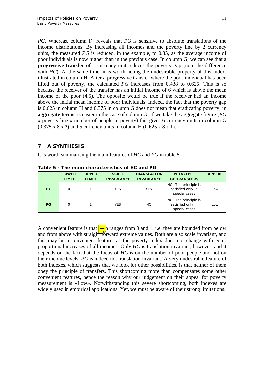11

<span id="page-14-0"></span>*PG*. Whereas, column F reveals that *PG* is sensitive to absolute translations of the income distributions. By increasing all incomes and the poverty line by 2 currency units, the measured *PG* is reduced, in the example, to 0.35, as the average income of poor individuals is now higher than in the previous case. In column G, we can see that a **progressive transfer** of 1 currency unit reduces the poverty gap (note the difference with *HC*). At the same time, it is worth noting the undesirable property of this index, illustrated in column H. After a progressive transfer where the poor individual has been lifted out of poverty, the calculated *PG* increases from 0.438 to 0.625! This is so because the receiver of the transfer has an initial income of 6 which is above the mean income of the poor (4.5). The opposite would be true if the receiver had an income above the initial mean income of poor individuals. Indeed, the fact that the poverty gap is 0.625 in column H and 0.375 in column G does not mean that eradicating poverty, in **aggregate terms**, is easier in the case of column G. If we take the aggregate figure (*PG* x poverty line x number of people in poverty) this gives 6 currency units in column G  $(0.375 \times 8 \times 2)$  and 5 currency units in column H  $(0.625 \times 8 \times 1)$ .

# **7 A SYNTHESIS**

It is worth summarising the main features of *HC* and *PG* in table 5.

|           | <b>LOWER</b> | <b>UPPER</b> | <b>SCALE</b>      | <b>TRANSLATION</b> | <b>PRINCIPLE</b>                                            | <b>APPEAL</b> |
|-----------|--------------|--------------|-------------------|--------------------|-------------------------------------------------------------|---------------|
|           | <b>LIMIT</b> | <b>LIMIT</b> | <b>INVARIANCE</b> | <b>INVARIANCE</b>  | <b>OF TRANSFERS</b>                                         |               |
| HC.       | O            |              | <b>YES</b>        | <b>YES</b>         | NO - The principle is<br>satisfied only in<br>special cases | Low           |
| <b>PG</b> | O            |              | <b>YES</b>        | NO.                | NO - The principle is<br>satisfied only in<br>special cases | Low           |

**Table 5 - The main characteristics of HC and PG** 

A convenient feature is that  $\frac{1}{\sqrt{2}}$  ranges from 0 and 1, i.e. they are bounded from below and from above with straight forward extreme values. Both are also scale invariant, and this may be a convenient feature, as the poverty index does not change with equiproportional increases of all incomes. Only *HC* is translation invariant, however, and it depends on the fact that the focus of *HC* is on the number of poor people and not on their income levels. *PG* is indeed not translation invariant. A very undesirable feature of both indexes, which suggests that we look for other possibilities, is that neither of them obey the principle of transfers. This shortcoming more than compensates some other convenient features, hence the reason why our judgement on their appeal for poverty measurement is «Low». Notwithstanding this severe shortcoming, both indexes are widely used in empirical applications. Yet, we must be aware of their strong limitations.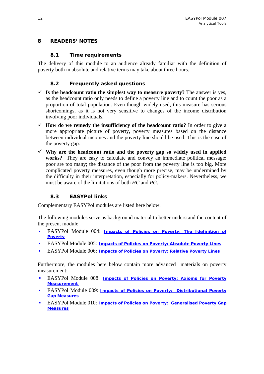## <span id="page-15-0"></span>**8 READERS' NOTES**

#### **8.1 Time requirements**

The delivery of this module to an audience already familiar with the definition of poverty both in absolute and relative terms may take about three hours.

## **8.2 Frequently asked questions**

- $\checkmark$  Is the headcount ratio the simplest way to measure poverty? The answer is yes, as the headcount ratio only needs to define a poverty line and to count the poor as a proportion of total population. Even though widely used, this measure has serious shortcomings, as it is not very sensitive to changes of the income distribution involving poor individuals.
- $\checkmark$  How do we remedy the insufficiency of the headcount ratio? In order to give a more appropriate picture of poverty, poverty measures based on the distance between individual incomes and the poverty line should be used. This is the case of the poverty gap.
- $\checkmark$  Why are the headcount ratio and the poverty gap so widely used in applied works? They are easy to calculate and convey an immediate political message: poor are too many; the distance of the poor from the poverty line is too big. More complicated poverty measures, even though more precise, may be undermined by the difficulty in their interpretation, especially for policy-makers. Nevertheless, we must be aware of the limitations of both *HC* and *PG*.

# **8.3 EASYPol links**

Complementary EASYPol modules are listed here below.

The following modules serve as background material to better understand the content of the present module

- EASYPol Module 004: *[Impacts of Policies on Poverty: The Idefinition of](http://www.fao.org/docs/up/easypol/312/povanlys_defpov_004EN.pdf)  [Poverty](http://www.fao.org/docs/up/easypol/312/povanlys_defpov_004EN.pdf)*
- EASYPol Module 005: *[Impacts of Policies on Poverty: Absolute Poverty Lines](http://www.fao.org/docs/up/easypol/312/povanlys_defpov_004EN.pdf)*
- EASYPol Module 006: *[Impacts of Policies on Poverty: Relative Poverty Lines](http://www.fao.org/docs/up/easypol/316/abslt_pov_lines_005EN.pdf)*

Furthermore, the modules here below contain more advanced materials on poverty measurement:

- EASYPol Module 008: *[Impacts of Policies on Poverty: Axioms for Poverty](http://www.fao.org/docs/up/easypol/321/axioms_pov_msmt_008EN.pdf)  [Measurement](http://www.fao.org/docs/up/easypol/321/axioms_pov_msmt_008EN.pdf)*
- EASYPol Module 009: *[Impacts of Policies on Poverty: Distributional Poverty](http://www.fao.org/docs/up/easypol/322/distributional-pvmsrs_009EN.pdf)  [Gap Measures](http://www.fao.org/docs/up/easypol/322/distributional-pvmsrs_009EN.pdf)*
- EASYPol Module 010: *[Impacts of Policies on Poverty: Generalised Poverty Gap](http://www.fao.org/docs/up/easypol/324/gnrlsed_pvty_gap_msrs_010EN.pdf)  [Measures](http://www.fao.org/docs/up/easypol/324/gnrlsed_pvty_gap_msrs_010EN.pdf)*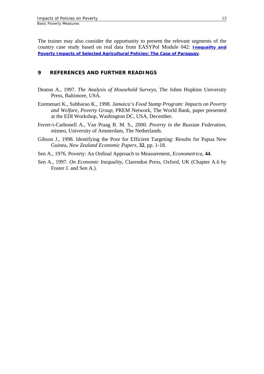<span id="page-16-0"></span>The trainer may also consider the opportunity to present the relevant segments of the country case study based on real data from EASYPol Module 042: *[Inequality and](http://www.fao.org/docs/up/easypol/320/Paraguay_CS_042EN.pdf)  [Poverty Impacts of Selected Agricultural Policies: The Case of Paraguay](http://www.fao.org/docs/up/easypol/320/Paraguay_CS_042EN.pdf)*.

#### **9 REFERENCES AND FURTHER READINGS**

- Deaton A., 1997. *The Analysis of Household Surveys*, The Johns Hopkins University Press, Baltimore, USA.
- Ezemenari K., Subbarao K., 1998. *Jamaica's Food Stamp Program: Impacts on Poverty and Welfare, Poverty Group*, PREM Network, The World Bank, paper presented at the EDI Workshop, Washington DC, USA, December.
- Ferrer-i-Carbonell A., Van Praag B. M. S., 2000. *Poverty in the Russian Federation*, mimeo, University of Amsterdam, The Netherlands.
- Gibson J., 1998. Identifying the Poor for Efficient Targeting: Results for Papua New Guinea, *New Zealand Economic Papers,* **32**, pp. 1-18.
- Sen A., 1976. Poverty: An Ordinal Approach to Measurement, *Econometrica,* **44**.
- Sen A., 1997. *On Economic Inequality*, Clarendon Press, Oxford, UK (Chapter A.6 by Foster J. and Sen A.).